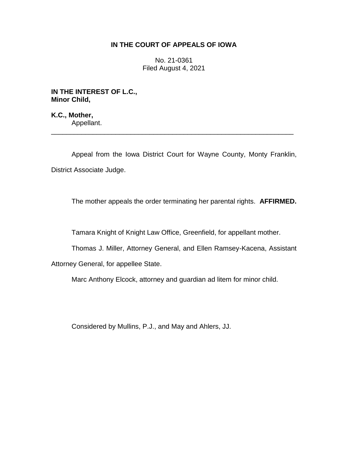## **IN THE COURT OF APPEALS OF IOWA**

No. 21-0361 Filed August 4, 2021

**IN THE INTEREST OF L.C., Minor Child,**

**K.C., Mother,** Appellant.

Appeal from the Iowa District Court for Wayne County, Monty Franklin, District Associate Judge.

\_\_\_\_\_\_\_\_\_\_\_\_\_\_\_\_\_\_\_\_\_\_\_\_\_\_\_\_\_\_\_\_\_\_\_\_\_\_\_\_\_\_\_\_\_\_\_\_\_\_\_\_\_\_\_\_\_\_\_\_\_\_\_\_

The mother appeals the order terminating her parental rights. **AFFIRMED.**

Tamara Knight of Knight Law Office, Greenfield, for appellant mother.

Thomas J. Miller, Attorney General, and Ellen Ramsey-Kacena, Assistant

Attorney General, for appellee State.

Marc Anthony Elcock, attorney and guardian ad litem for minor child.

Considered by Mullins, P.J., and May and Ahlers, JJ.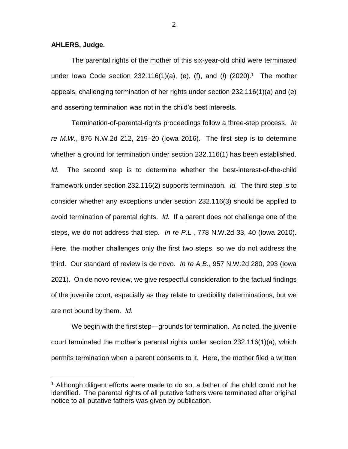## **AHLERS, Judge.**

 $\overline{a}$ 

The parental rights of the mother of this six-year-old child were terminated under Iowa Code section 232.116(1)(a), (e), (f), and (*l*) (2020).<sup>1</sup> The mother appeals, challenging termination of her rights under section 232.116(1)(a) and (e) and asserting termination was not in the child's best interests.

Termination-of-parental-rights proceedings follow a three-step process. *In re M.W.*, 876 N.W.2d 212, 219–20 (Iowa 2016). The first step is to determine whether a ground for termination under section 232.116(1) has been established. *Id.* The second step is to determine whether the best-interest-of-the-child framework under section 232.116(2) supports termination. *Id.* The third step is to consider whether any exceptions under section 232.116(3) should be applied to avoid termination of parental rights. *Id.* If a parent does not challenge one of the steps, we do not address that step. *In re P.L.*, 778 N.W.2d 33, 40 (Iowa 2010). Here, the mother challenges only the first two steps, so we do not address the third. Our standard of review is de novo. *In re A.B.*, 957 N.W.2d 280, 293 (Iowa 2021). On de novo review, we give respectful consideration to the factual findings of the juvenile court, especially as they relate to credibility determinations, but we are not bound by them. *Id.*

We begin with the first step—grounds for termination. As noted, the juvenile court terminated the mother's parental rights under section 232.116(1)(a), which permits termination when a parent consents to it. Here, the mother filed a written

2

 $1$  Although diligent efforts were made to do so, a father of the child could not be identified. The parental rights of all putative fathers were terminated after original notice to all putative fathers was given by publication.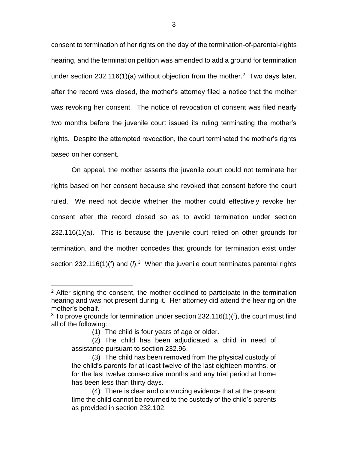consent to termination of her rights on the day of the termination-of-parental-rights hearing, and the termination petition was amended to add a ground for termination under section 232.116(1)(a) without objection from the mother.<sup>2</sup> Two days later, after the record was closed, the mother's attorney filed a notice that the mother was revoking her consent. The notice of revocation of consent was filed nearly two months before the juvenile court issued its ruling terminating the mother's rights. Despite the attempted revocation, the court terminated the mother's rights based on her consent.

On appeal, the mother asserts the juvenile court could not terminate her rights based on her consent because she revoked that consent before the court ruled. We need not decide whether the mother could effectively revoke her consent after the record closed so as to avoid termination under section 232.116(1)(a). This is because the juvenile court relied on other grounds for termination, and the mother concedes that grounds for termination exist under section 232.116(1)(f) and ( $\Lambda$ <sup>3</sup> When the juvenile court terminates parental rights

(1) The child is four years of age or older.

 $\overline{a}$ 

<sup>&</sup>lt;sup>2</sup> After signing the consent, the mother declined to participate in the termination hearing and was not present during it. Her attorney did attend the hearing on the mother's behalf.

 $3$  To prove grounds for termination under section 232.116(1)(f), the court must find all of the following:

<sup>(2)</sup> The child has been adjudicated a child in need of assistance pursuant to section 232.96.

<sup>(3)</sup> The child has been removed from the physical custody of the child's parents for at least twelve of the last eighteen months, or for the last twelve consecutive months and any trial period at home has been less than thirty days.

<sup>(4)</sup> There is clear and convincing evidence that at the present time the child cannot be returned to the custody of the child's parents as provided in section 232.102.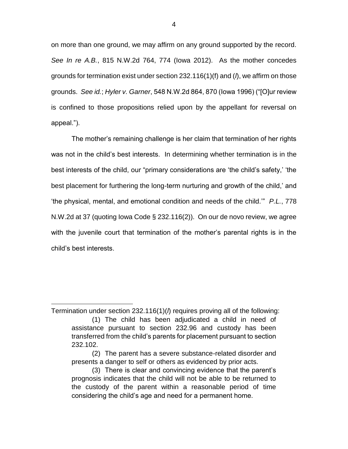on more than one ground, we may affirm on any ground supported by the record. *See In re A.B.*, 815 N.W.2d 764, 774 (Iowa 2012). As the mother concedes grounds for termination exist under section 232.116(1)(f) and (*l*), we affirm on those grounds. *See id.*; *Hyler v. Garner*, 548 N.W.2d 864, 870 (Iowa 1996) ("[O]ur review is confined to those propositions relied upon by the appellant for reversal on appeal.").

The mother's remaining challenge is her claim that termination of her rights was not in the child's best interests. In determining whether termination is in the best interests of the child, our "primary considerations are 'the child's safety,' 'the best placement for furthering the long-term nurturing and growth of the child,' and 'the physical, mental, and emotional condition and needs of the child.'" *P.L.*, 778 N.W.2d at 37 (quoting Iowa Code § 232.116(2)). On our de novo review, we agree with the juvenile court that termination of the mother's parental rights is in the child's best interests.

 $\overline{a}$ 

Termination under section 232.116(1)(*l*) requires proving all of the following:

<sup>(1)</sup> The child has been adjudicated a child in need of assistance pursuant to section 232.96 and custody has been transferred from the child's parents for placement pursuant to section 232.102.

<sup>(2)</sup> The parent has a severe substance-related disorder and presents a danger to self or others as evidenced by prior acts.

<sup>(3)</sup> There is clear and convincing evidence that the parent's prognosis indicates that the child will not be able to be returned to the custody of the parent within a reasonable period of time considering the child's age and need for a permanent home.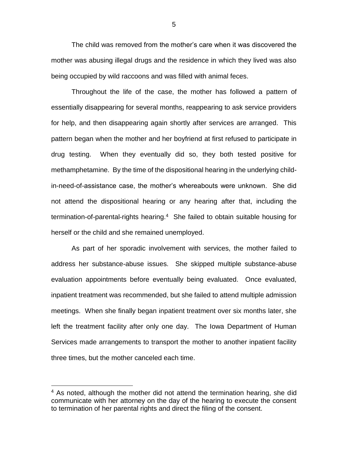The child was removed from the mother's care when it was discovered the mother was abusing illegal drugs and the residence in which they lived was also being occupied by wild raccoons and was filled with animal feces.

Throughout the life of the case, the mother has followed a pattern of essentially disappearing for several months, reappearing to ask service providers for help, and then disappearing again shortly after services are arranged. This pattern began when the mother and her boyfriend at first refused to participate in drug testing. When they eventually did so, they both tested positive for methamphetamine. By the time of the dispositional hearing in the underlying childin-need-of-assistance case, the mother's whereabouts were unknown. She did not attend the dispositional hearing or any hearing after that, including the termination-of-parental-rights hearing.<sup>4</sup> She failed to obtain suitable housing for herself or the child and she remained unemployed.

As part of her sporadic involvement with services, the mother failed to address her substance-abuse issues. She skipped multiple substance-abuse evaluation appointments before eventually being evaluated. Once evaluated, inpatient treatment was recommended, but she failed to attend multiple admission meetings. When she finally began inpatient treatment over six months later, she left the treatment facility after only one day. The Iowa Department of Human Services made arrangements to transport the mother to another inpatient facility three times, but the mother canceled each time.

 $\overline{a}$ 

5

<sup>&</sup>lt;sup>4</sup> As noted, although the mother did not attend the termination hearing, she did communicate with her attorney on the day of the hearing to execute the consent to termination of her parental rights and direct the filing of the consent.